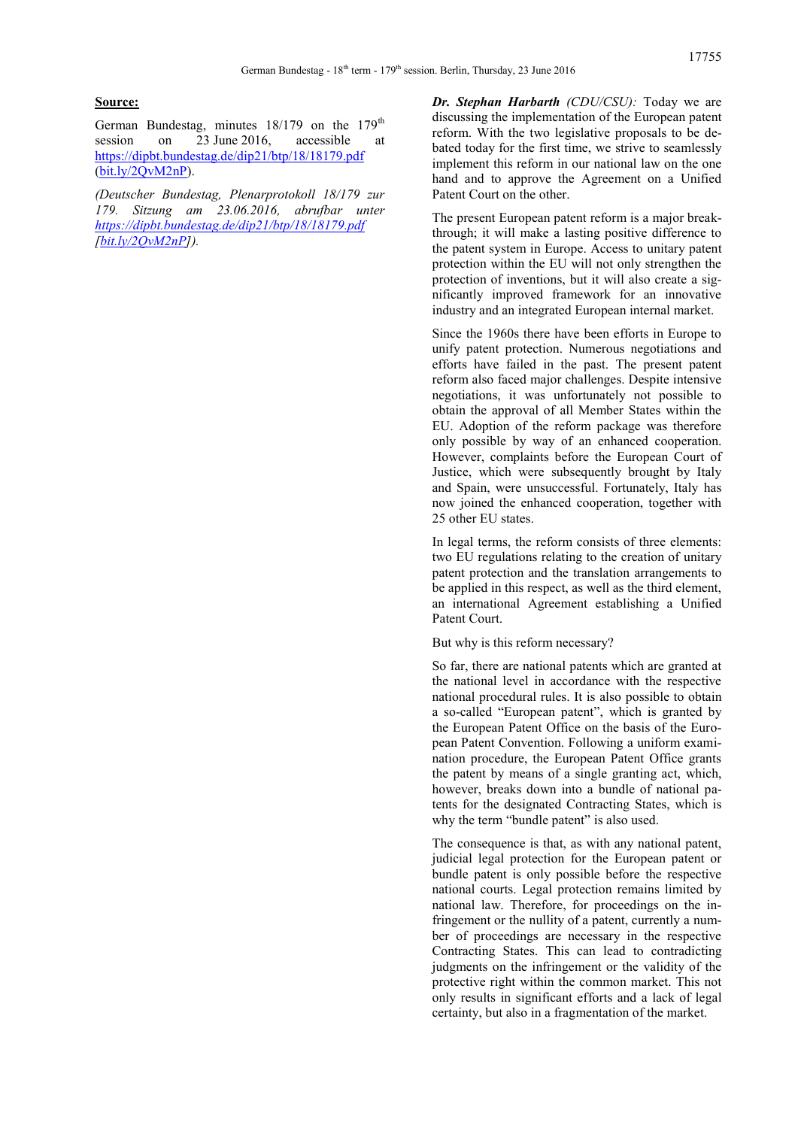## **Source:**

German Bundestag, minutes 18/179 on the 179<sup>th</sup> session on 23 June 2016, accessible at <https://dipbt.bundestag.de/dip21/btp/18/18179.pdf> [\(bit.ly/2QvM2nP\)](https://bit.ly/2QvM2nP).

*(Deutscher Bundestag, Plenarprotokoll 18/179 zur 179. Sitzung am 23.06.2016, abrufbar unter <https://dipbt.bundestag.de/dip21/btp/18/18179.pdf> [\[bit.ly/2QvM2nP\]](https://bit.ly/2QvM2nP)).*

*Dr. Stephan Harbarth (CDU/CSU):* Today we are discussing the implementation of the European patent reform. With the two legislative proposals to be debated today for the first time, we strive to seamlessly implement this reform in our national law on the one hand and to approve the Agreement on a Unified Patent Court on the other.

The present European patent reform is a major breakthrough; it will make a lasting positive difference to the patent system in Europe. Access to unitary patent protection within the EU will not only strengthen the protection of inventions, but it will also create a significantly improved framework for an innovative industry and an integrated European internal market.

Since the 1960s there have been efforts in Europe to unify patent protection. Numerous negotiations and efforts have failed in the past. The present patent reform also faced major challenges. Despite intensive negotiations, it was unfortunately not possible to obtain the approval of all Member States within the EU. Adoption of the reform package was therefore only possible by way of an enhanced cooperation. However, complaints before the European Court of Justice, which were subsequently brought by Italy and Spain, were unsuccessful. Fortunately, Italy has now joined the enhanced cooperation, together with 25 other EU states.

In legal terms, the reform consists of three elements: two EU regulations relating to the creation of unitary patent protection and the translation arrangements to be applied in this respect, as well as the third element, an international Agreement establishing a Unified Patent Court.

But why is this reform necessary?

So far, there are national patents which are granted at the national level in accordance with the respective national procedural rules. It is also possible to obtain a so-called "European patent", which is granted by the European Patent Office on the basis of the European Patent Convention. Following a uniform examination procedure, the European Patent Office grants the patent by means of a single granting act, which, however, breaks down into a bundle of national patents for the designated Contracting States, which is why the term "bundle patent" is also used.

The consequence is that, as with any national patent, judicial legal protection for the European patent or bundle patent is only possible before the respective national courts. Legal protection remains limited by national law. Therefore, for proceedings on the infringement or the nullity of a patent, currently a number of proceedings are necessary in the respective Contracting States. This can lead to contradicting judgments on the infringement or the validity of the protective right within the common market. This not only results in significant efforts and a lack of legal certainty, but also in a fragmentation of the market.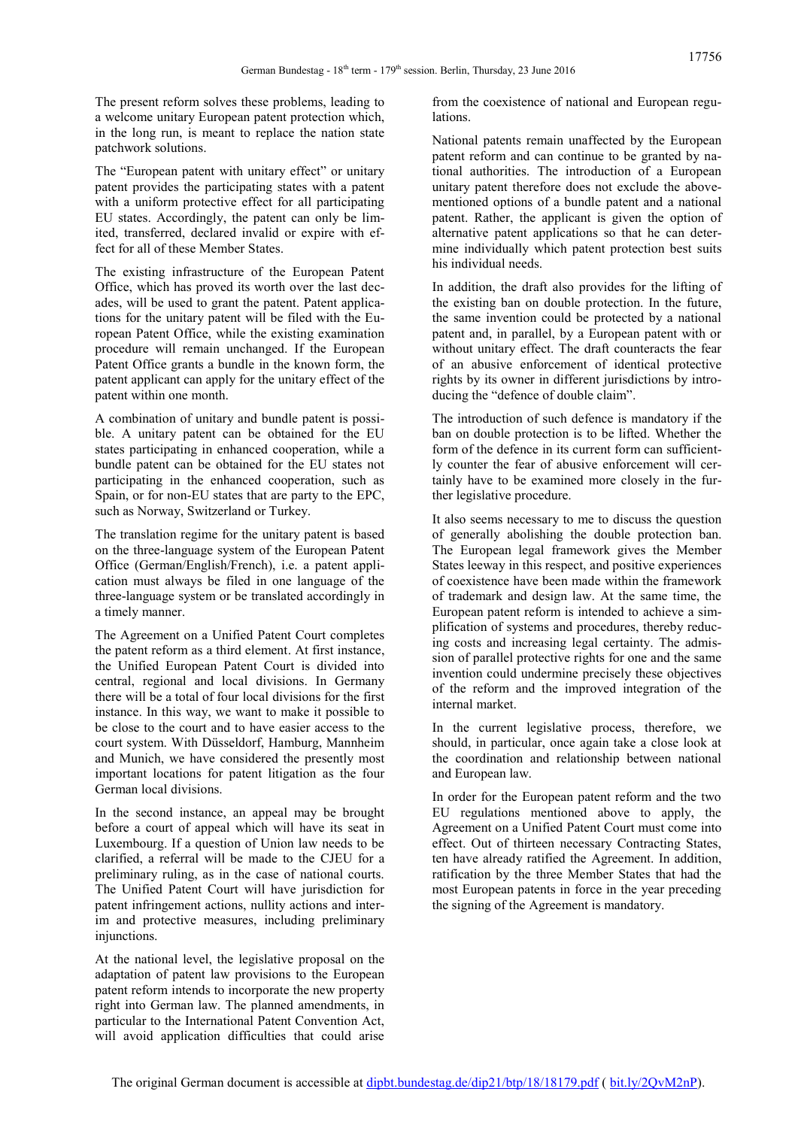The present reform solves these problems, leading to a welcome unitary European patent protection which, in the long run, is meant to replace the nation state patchwork solutions.

The "European patent with unitary effect" or unitary patent provides the participating states with a patent with a uniform protective effect for all participating EU states. Accordingly, the patent can only be limited, transferred, declared invalid or expire with effect for all of these Member States.

The existing infrastructure of the European Patent Office, which has proved its worth over the last decades, will be used to grant the patent. Patent applications for the unitary patent will be filed with the European Patent Office, while the existing examination procedure will remain unchanged. If the European Patent Office grants a bundle in the known form, the patent applicant can apply for the unitary effect of the patent within one month.

A combination of unitary and bundle patent is possible. A unitary patent can be obtained for the EU states participating in enhanced cooperation, while a bundle patent can be obtained for the EU states not participating in the enhanced cooperation, such as Spain, or for non-EU states that are party to the EPC, such as Norway, Switzerland or Turkey.

The translation regime for the unitary patent is based on the three-language system of the European Patent Office (German/English/French), i.e. a patent application must always be filed in one language of the three-language system or be translated accordingly in a timely manner.

The Agreement on a Unified Patent Court completes the patent reform as a third element. At first instance, the Unified European Patent Court is divided into central, regional and local divisions. In Germany there will be a total of four local divisions for the first instance. In this way, we want to make it possible to be close to the court and to have easier access to the court system. With Düsseldorf, Hamburg, Mannheim and Munich, we have considered the presently most important locations for patent litigation as the four German local divisions.

In the second instance, an appeal may be brought before a court of appeal which will have its seat in Luxembourg. If a question of Union law needs to be clarified, a referral will be made to the CJEU for a preliminary ruling, as in the case of national courts. The Unified Patent Court will have jurisdiction for patent infringement actions, nullity actions and interim and protective measures, including preliminary injunctions.

At the national level, the legislative proposal on the adaptation of patent law provisions to the European patent reform intends to incorporate the new property right into German law. The planned amendments, in particular to the International Patent Convention Act, will avoid application difficulties that could arise

from the coexistence of national and European regulations.

National patents remain unaffected by the European patent reform and can continue to be granted by national authorities. The introduction of a European unitary patent therefore does not exclude the abovementioned options of a bundle patent and a national patent. Rather, the applicant is given the option of alternative patent applications so that he can determine individually which patent protection best suits his individual needs.

In addition, the draft also provides for the lifting of the existing ban on double protection. In the future, the same invention could be protected by a national patent and, in parallel, by a European patent with or without unitary effect. The draft counteracts the fear of an abusive enforcement of identical protective rights by its owner in different jurisdictions by introducing the "defence of double claim".

The introduction of such defence is mandatory if the ban on double protection is to be lifted. Whether the form of the defence in its current form can sufficiently counter the fear of abusive enforcement will certainly have to be examined more closely in the further legislative procedure.

It also seems necessary to me to discuss the question of generally abolishing the double protection ban. The European legal framework gives the Member States leeway in this respect, and positive experiences of coexistence have been made within the framework of trademark and design law. At the same time, the European patent reform is intended to achieve a simplification of systems and procedures, thereby reducing costs and increasing legal certainty. The admission of parallel protective rights for one and the same invention could undermine precisely these objectives of the reform and the improved integration of the internal market.

In the current legislative process, therefore, we should, in particular, once again take a close look at the coordination and relationship between national and European law.

In order for the European patent reform and the two EU regulations mentioned above to apply, the Agreement on a Unified Patent Court must come into effect. Out of thirteen necessary Contracting States, ten have already ratified the Agreement. In addition, ratification by the three Member States that had the most European patents in force in the year preceding the signing of the Agreement is mandatory.